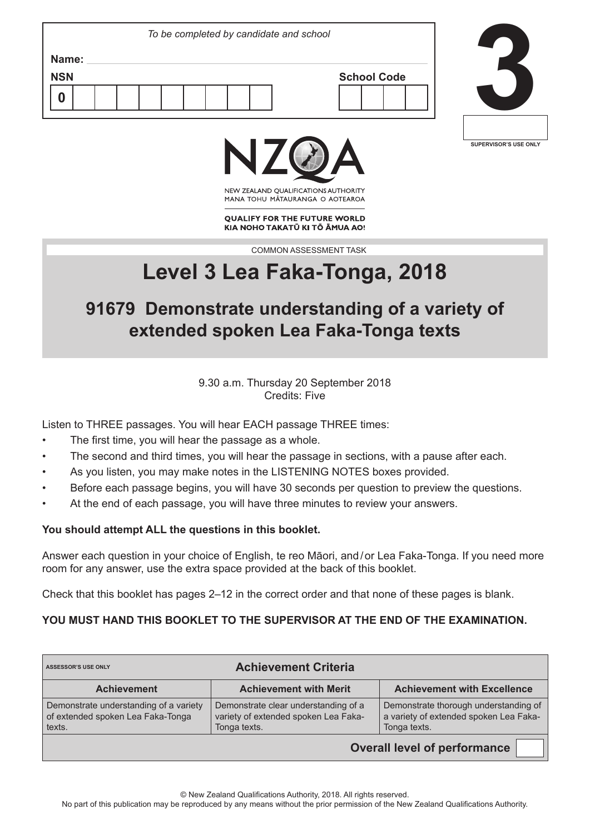| Name:<br><b>NSN</b><br><b>School Code</b> | To be completed by candidate and school |  |
|-------------------------------------------|-----------------------------------------|--|
|                                           |                                         |  |
|                                           |                                         |  |
|                                           |                                         |  |



╜





NEW ZEALAND OUALIFICATIONS AUTHORITY MANA TOHU MATAURANGA O AOTEAROA

**QUALIFY FOR THE FUTURE WORLD** KIA NOHO TAKATŪ KI TŌ ĀMUA AO!

COMMON ASSESSMENT TASK

# **Level 3 Lea Faka-Tonga, 2018**

## **91679 Demonstrate understanding of a variety of extended spoken Lea Faka-Tonga texts**

9.30 a.m. Thursday 20 September 2018 Credits: Five

Listen to THREE passages. You will hear EACH passage THREE times:

- The first time, you will hear the passage as a whole.
- The second and third times, you will hear the passage in sections, with a pause after each.
- As you listen, you may make notes in the LISTENING NOTES boxes provided.
- Before each passage begins, you will have 30 seconds per question to preview the questions.
- At the end of each passage, you will have three minutes to review your answers.

#### **You should attempt ALL the questions in this booklet.**

Answer each question in your choice of English, te reo Māori, and / or Lea Faka-Tonga. If you need more room for any answer, use the extra space provided at the back of this booklet.

Check that this booklet has pages 2–12 in the correct order and that none of these pages is blank.

#### **YOU MUST HAND THIS BOOKLET TO THE SUPERVISOR AT THE END OF THE EXAMINATION.**

| <b>Achievement Criteria</b><br>ASSESSOR'S USE ONLY                                    |                                                                                                                                                                                                 |                                    |  |  |  |  |
|---------------------------------------------------------------------------------------|-------------------------------------------------------------------------------------------------------------------------------------------------------------------------------------------------|------------------------------------|--|--|--|--|
| <b>Achievement</b>                                                                    | <b>Achievement with Merit</b>                                                                                                                                                                   | <b>Achievement with Excellence</b> |  |  |  |  |
| Demonstrate understanding of a variety<br>of extended spoken Lea Faka-Tonga<br>texts. | Demonstrate thorough understanding of<br>Demonstrate clear understanding of a<br>a variety of extended spoken Lea Faka-<br>variety of extended spoken Lea Faka-<br>Tonga texts.<br>Tonga texts. |                                    |  |  |  |  |
| <b>Overall level of performance</b>                                                   |                                                                                                                                                                                                 |                                    |  |  |  |  |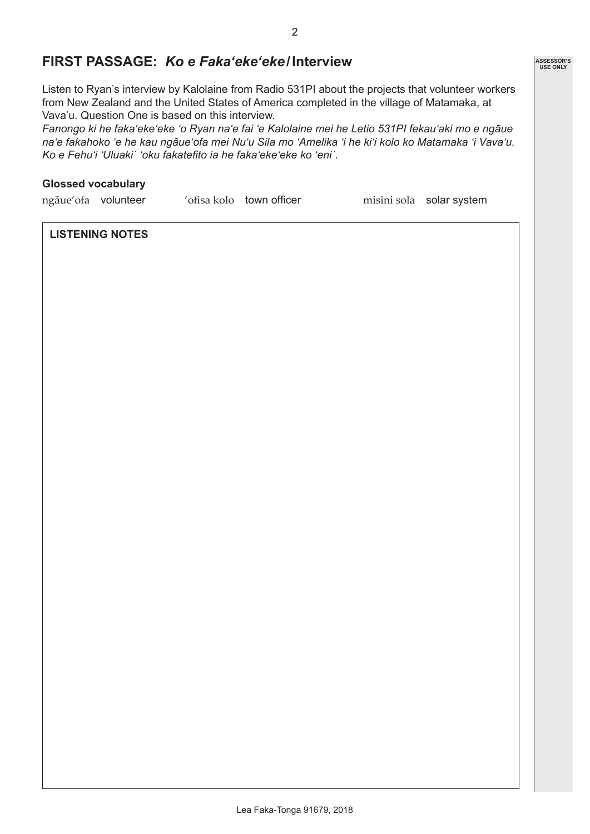### **FIRST PASSAGE:** *Ko e Faka'eke'eke***/Interview**

Listen to Ryan's interview by Kalolaine from Radio 531PI about the projects that volunteer workers from New Zealand and the United States of America completed in the village of Matamaka, at Vava'u. Question One is based on this interview.

*Fanongo ki he faka'eke'eke 'o Ryan na'e fai 'e Kalolaine mei he Letio 531PI fekau'aki mo e ngāue na'e fakahoko 'e he kau ngāue'ofa mei Nu'u Sila mo 'Amelika 'i he ki'i kolo ko Matamaka 'i Vava'u. Ko e Fehu'i 'Uluakiˊ 'oku fakatefito ia he faka'eke'eke ko 'eniˊ.*

#### **Glossed vocabulary**

ngāue'ofa volunteer 'ofisa kolo town officer misini sola solar system

#### **LISTENING NOTES**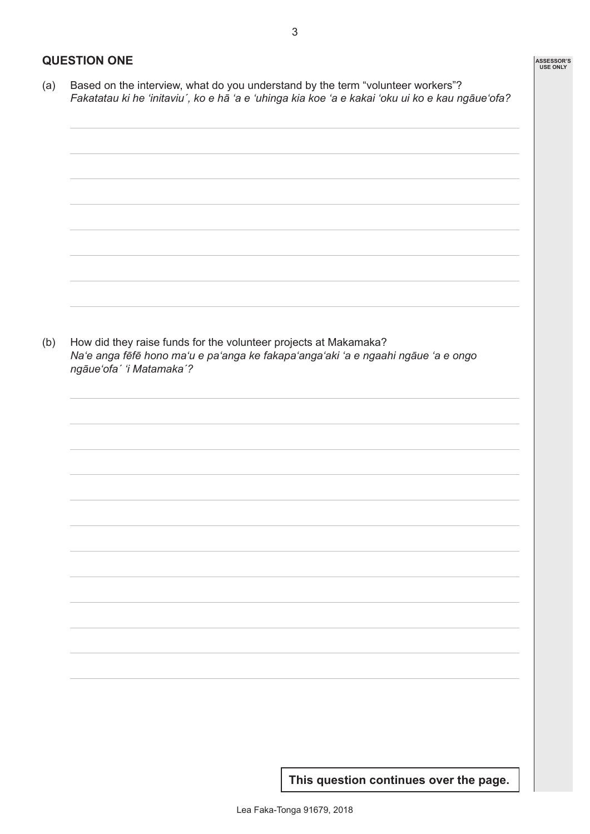(b) How did they raise funds for the volunteer projects at Makamaka? *Na'e anga fēfē hono ma'u e pa'anga ke fakapa'anga'aki 'a e ngaahi ngāue 'a e ongo ngāue'ofaˊ 'i Matamakaˊ?*

**This question continues over the page.**

**ASSESSOR'S USE ONLY**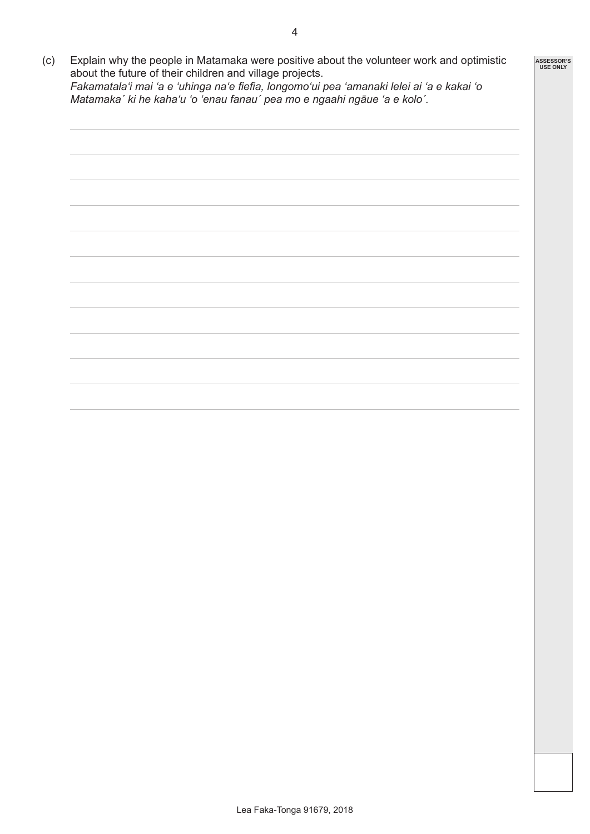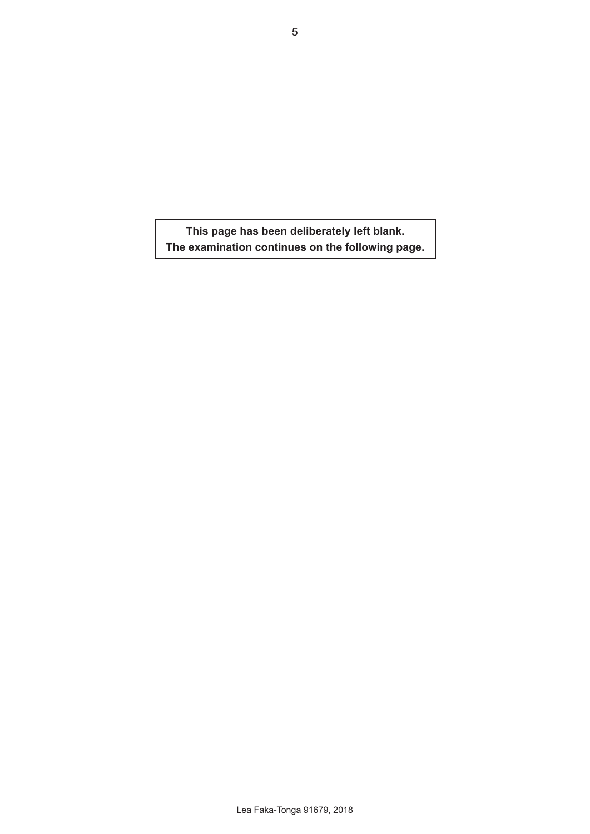**This page has been deliberately left blank. The examination continues on the following page.**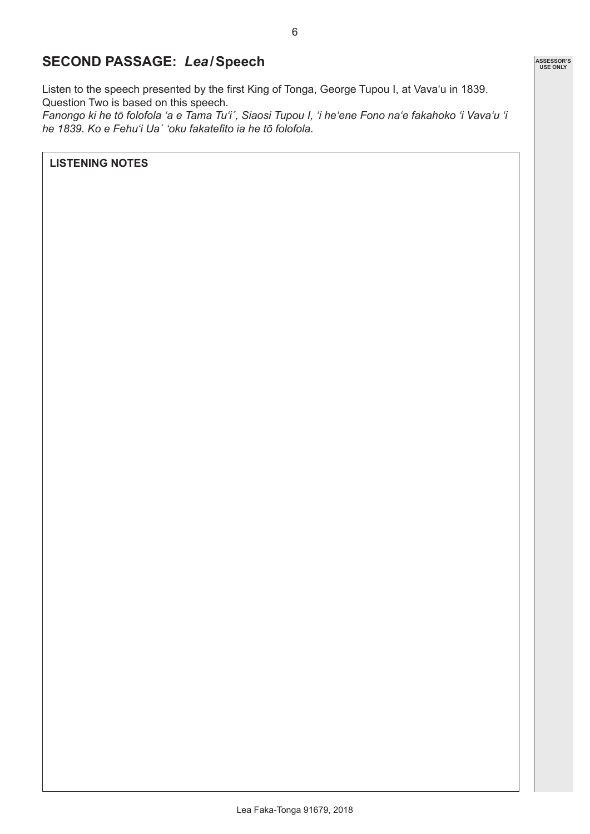## **SECOND PASSAGE:** *Lea***/Speech**

Listen to the speech presented by the first King of Tonga, George Tupou I, at Vava'u in 1839. Question Two is based on this speech.

*Fanongo ki he tō folofola 'a e Tama Tu'iˊ, Siaosi Tupou I, 'i he'ene Fono na'e fakahoko 'i Vava'u 'i he 1839. Ko e Fehu'i Uaˊ 'oku fakatefito ia he tō folofola.* 

**LISTENING NOTES**

**ASSESSOR'S USE ONLY**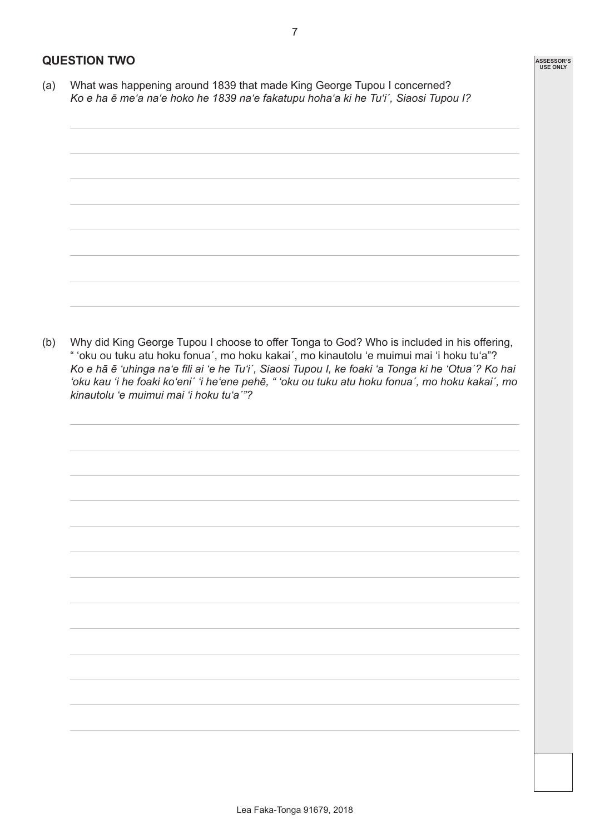#### **QUESTION TWO**

(a) What was happening around 1839 that made King George Tupou I concerned? *Ko e ha ē me'a na'e hoko he 1839 na'e fakatupu hoha'a ki he Tu'iˊ, Siaosi Tupou I?*



(b) Why did King George Tupou I choose to offer Tonga to God? Who is included in his offering, " 'oku ou tuku atu hoku fonuaˊ, mo hoku kakaiˊ, mo kinautolu 'e muimui mai 'i hoku tu'a"? *Ko e hā ē 'uhinga na'e fili ai 'e he Tu'iˊ, Siaosi Tupou I, ke foaki 'a Tonga ki he 'Otuaˊ? Ko hai 'oku kau 'i he foaki ko'eniˊ 'i he'ene pehē, " 'oku ou tuku atu hoku fonuaˊ, mo hoku kakaiˊ, mo kinautolu 'e muimui mai 'i hoku tu'aˊ"?*

**ASSESSOR'S USE ONLY**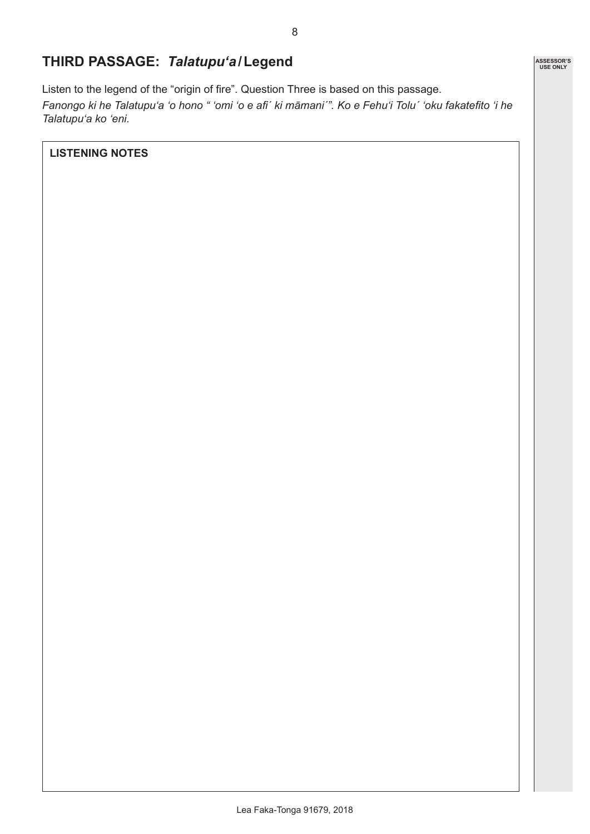## **THIRD PASSAGE:** *Talatupu'a***/Legend**

Listen to the legend of the "origin of fire". Question Three is based on this passage. *Fanongo ki he Talatupu'a 'o hono " 'omi 'o e afiˊ ki māmaniˊ". Ko e Fehu'i Tolu´ 'oku fakatefito 'i he Talatupu'a ko 'eni.*

**LISTENING NOTES**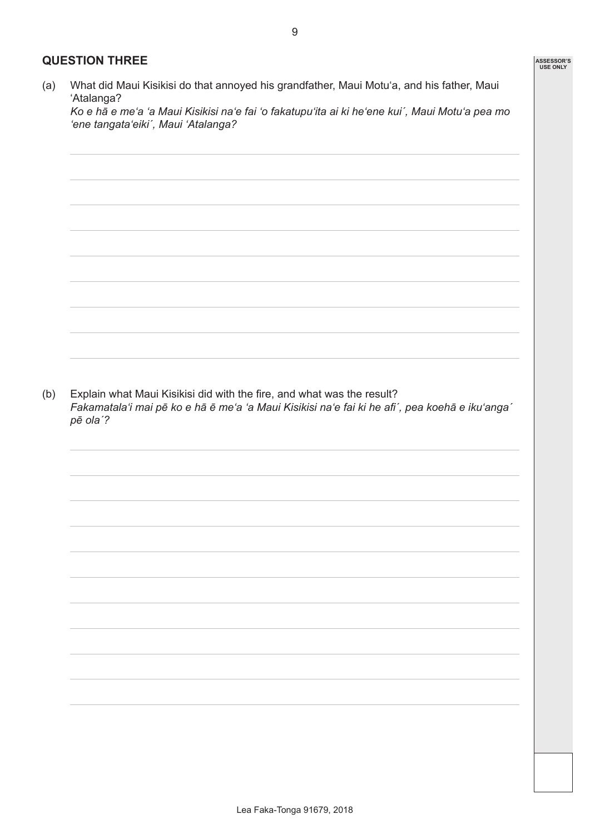#### **QUESTION THREE**

(a) What did Maui Kisikisi do that annoyed his grandfather, Maui Motu'a, and his father, Maui 'Atalanga?

*Ko e hā e me'a 'a Maui Kisikisi na'e fai 'o fakatupu'ita ai ki he'ene kuiˊ, Maui Motu'a pea mo 'ene tangata'eikiˊ, Maui 'Atalanga?*

9

(b) Explain what Maui Kisikisi did with the fire, and what was the result? *Fakamatala'i mai pē ko e hā ē me'a 'a Maui Kisikisi na'e fai ki he afiˊ, pea koehā e iku'angaˊ pē olaˊ?*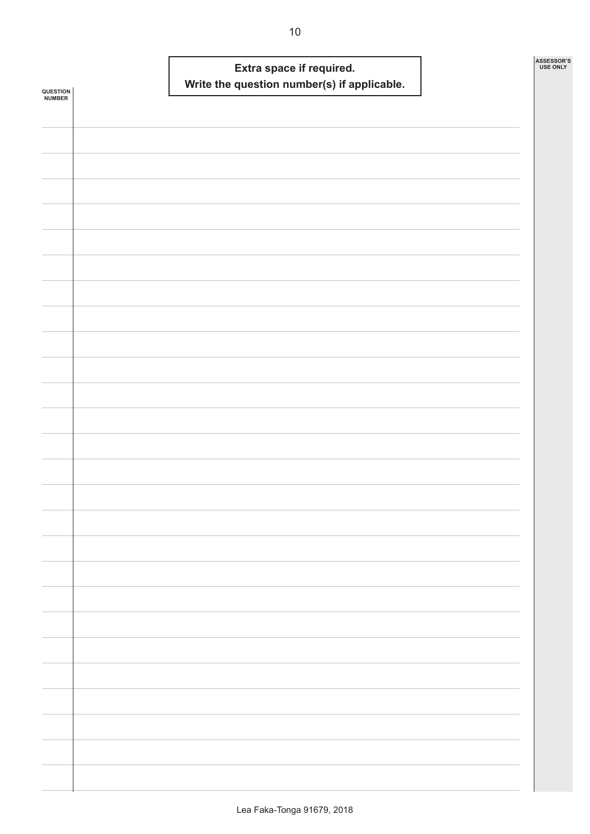| <b>QUESTION<br/>NUMBER</b> |  | Write the question number(s) if applicable. | Extra space if required. |  | ASSESSOR'S<br><b>USE ONLY</b> |
|----------------------------|--|---------------------------------------------|--------------------------|--|-------------------------------|
|                            |  |                                             |                          |  |                               |
|                            |  |                                             |                          |  |                               |
|                            |  |                                             |                          |  |                               |
|                            |  |                                             |                          |  |                               |
|                            |  |                                             |                          |  |                               |
|                            |  |                                             |                          |  |                               |
|                            |  |                                             |                          |  |                               |
|                            |  |                                             |                          |  |                               |
|                            |  |                                             |                          |  |                               |
|                            |  |                                             |                          |  |                               |
|                            |  |                                             |                          |  |                               |
|                            |  |                                             |                          |  |                               |
|                            |  |                                             |                          |  |                               |
|                            |  |                                             |                          |  |                               |
|                            |  |                                             |                          |  |                               |
|                            |  |                                             |                          |  |                               |
|                            |  |                                             |                          |  |                               |
|                            |  |                                             |                          |  |                               |
|                            |  |                                             |                          |  |                               |
|                            |  |                                             |                          |  |                               |
|                            |  |                                             |                          |  |                               |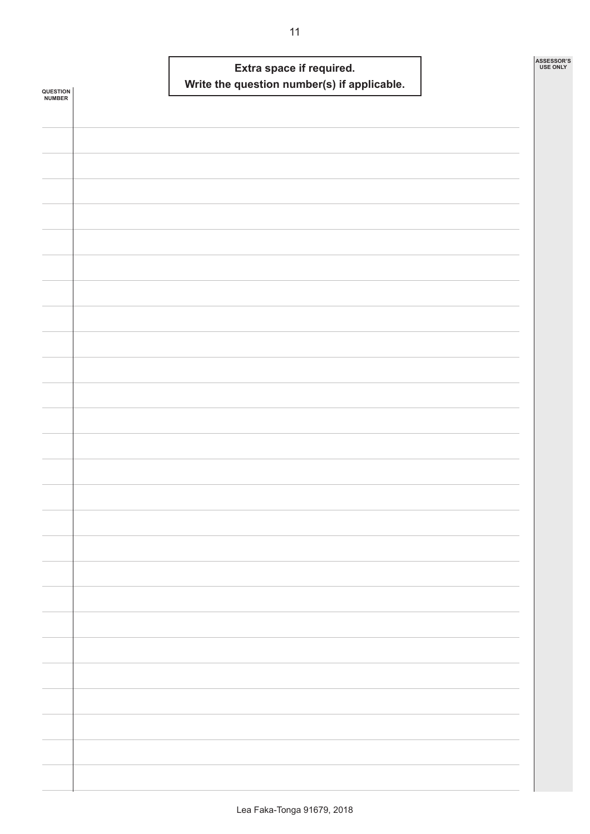| <b>QUESTION<br/>NUMBER</b> |  | Write the question number(s) if applicable. | Extra space if required. |  | ASSESSOR'S<br><b>USE ONLY</b> |  |
|----------------------------|--|---------------------------------------------|--------------------------|--|-------------------------------|--|
|                            |  |                                             |                          |  |                               |  |
|                            |  |                                             |                          |  |                               |  |
|                            |  |                                             |                          |  |                               |  |
|                            |  |                                             |                          |  |                               |  |
|                            |  |                                             |                          |  |                               |  |
|                            |  |                                             |                          |  |                               |  |
|                            |  |                                             |                          |  |                               |  |
|                            |  |                                             |                          |  |                               |  |
|                            |  |                                             |                          |  |                               |  |
|                            |  |                                             |                          |  |                               |  |
|                            |  |                                             |                          |  |                               |  |
|                            |  |                                             |                          |  |                               |  |
|                            |  |                                             |                          |  |                               |  |
|                            |  |                                             |                          |  |                               |  |
|                            |  |                                             |                          |  |                               |  |
|                            |  |                                             |                          |  |                               |  |
|                            |  |                                             |                          |  |                               |  |
|                            |  |                                             |                          |  |                               |  |
|                            |  |                                             |                          |  |                               |  |
|                            |  |                                             |                          |  |                               |  |
|                            |  |                                             |                          |  |                               |  |
|                            |  |                                             |                          |  |                               |  |
|                            |  |                                             |                          |  |                               |  |
|                            |  |                                             |                          |  |                               |  |
|                            |  |                                             |                          |  |                               |  |